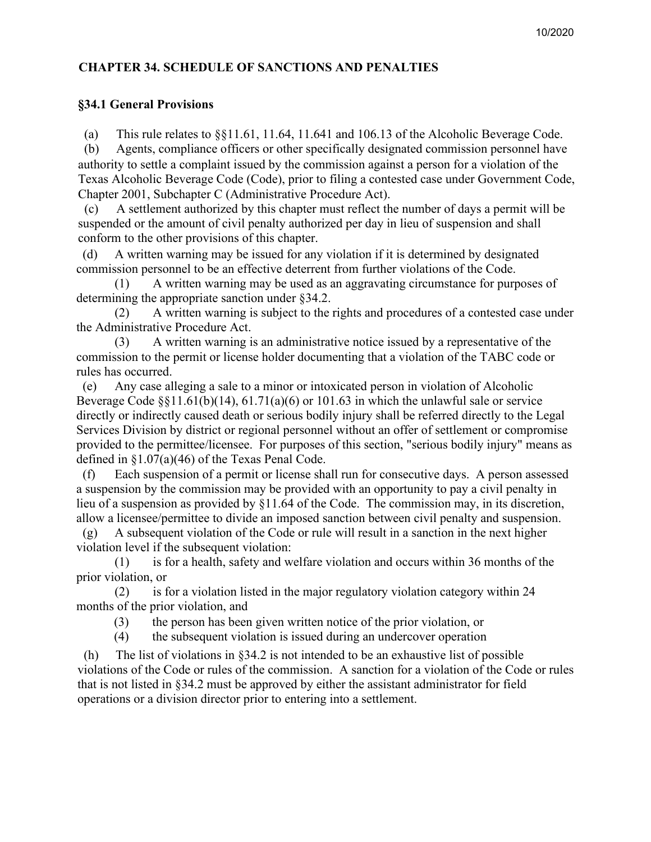## **CHAPTER 34. SCHEDULE OF SANCTIONS AND PENALTIES**

### **§34.1 General Provisions**

(a) This rule relates to §§11.61, 11.64, 11.641 and 106.13 of the Alcoholic Beverage Code.

(b) Agents, compliance officers or other specifically designated commission personnel have authority to settle a complaint issued by the commission against a person for a violation of the Texas Alcoholic Beverage Code (Code), prior to filing a contested case under Government Code, Chapter 2001, Subchapter C (Administrative Procedure Act).

(c) A settlement authorized by this chapter must reflect the number of days a permit will be suspended or the amount of civil penalty authorized per day in lieu of suspension and shall conform to the other provisions of this chapter.

(d) A written warning may be issued for any violation if it is determined by designated commission personnel to be an effective deterrent from further violations of the Code.

A written warning may be used as an aggravating circumstance for purposes of determining the appropriate sanction under §34.2.

(2) A written warning is subject to the rights and procedures of a contested case under the Administrative Procedure Act.

(3) A written warning is an administrative notice issued by a representative of the commission to the permit or license holder documenting that a violation of the TABC code or rules has occurred.

(e) Any case alleging a sale to a minor or intoxicated person in violation of Alcoholic Beverage Code  $\S$ [1.61(b)(14), 61.71(a)(6) or 101.63 in which the unlawful sale or service directly or indi[rectly caused death or serious bo](mailto:Protests_Reg2@tabc.texas.gov)dily injury shall be referred directly to the Legal Services Divisi[on by district or regional personn](mailto:Protests_Reg3@tabc.texas.gov)el without an offer of settlement or compromise provided to the permittee/licensee. For purposes of this section, "serious bodily injury" means as defined in §1.07(a)(46) of the Texas Penal Code.

(f) Each suspension of a permit or license shall run for consecutive days. A person assessed a suspension by the commission may be provided with an opportunity to pay a civil penalty in lieu of a suspension as provided by §11.64 of the Code. The commission may, in its discretion, allow a licensee/permittee to divide an imposed sanction between civil penalty and suspension.

(g) A subsequent violation of the Code or rule will result in a sanction in the next higher violation level if the subsequent violation:

(1) is for a health, safety and welfare violation and occurs within 36 months of the prior violation, or

(2) is for a violation listed in the major regulatory violation category within 24 months of the prior violation, and

(3) the person has been given written notice of the prior violation, or

(4) the subsequent violation is issued during an undercover operation

(h) The list of violations in §34.2 is not intended to be an exhaustive list of possible violations of the Code or rules of the commission. A sanction for a violation of the Code or rules that is not listed in §34.2 must be approved by either the assistant administrator for field operations or a division director prior to entering into a settlement.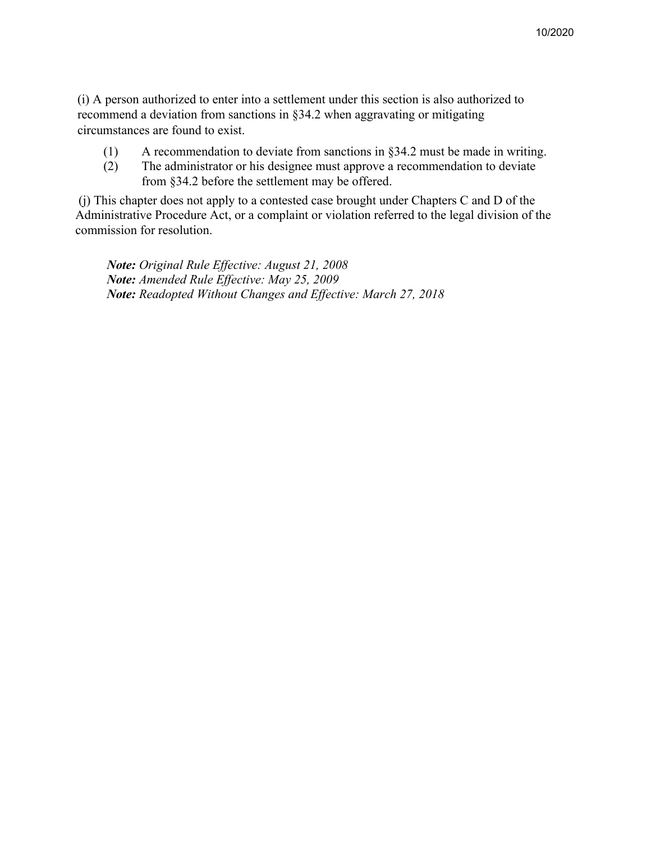(i) A person authorized to enter into a settlement under this section is also authorized to recommend a deviation from sanctions in §34.2 when aggravating or mitigating circumstances are found to exist.

- (1) A recommendation to deviate from sanctions in §34.2 must be made in writing.
- (2) The administrator or his designee must approve a recommendation to deviate from §34.2 before the settlement may be offered.

(j) This chapter does not apply to a contested case brought under Chapters C and D of the Administrative Procedure Act, or a complaint or violation referred to the legal division of the commission for resolution.

*Note: Original Rule Effective: August 21, 2008 Note: Amended Rule Effective: May 25, 2009 Note: Readopted Without Changes and Effective: March 27, 2018*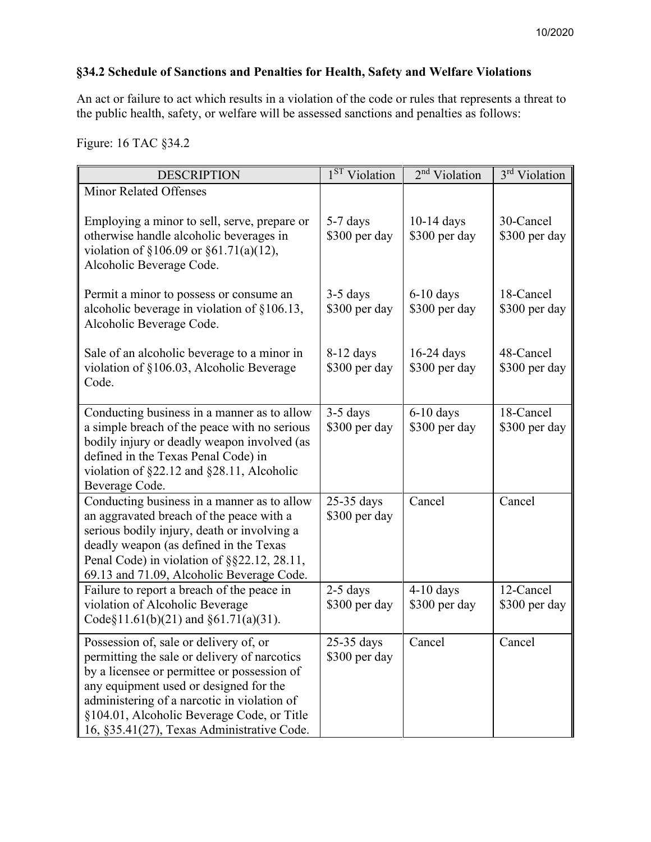# **§34.2 Schedule of Sanctions and Penalties for Health, Safety and Welfare Violations**

An act or failure to act which results in a violation of the code or rules that represents a threat to the public health, safety, or welfare will be assessed sanctions and penalties as follows:

Figure: 16 TAC §34.2

| <b>DESCRIPTION</b>                                                                                                                                                                                                                                                                                                         | 1 <sup>ST</sup> Violation    | 2 <sup>nd</sup> Violation     | 3 <sup>rd</sup> Violation  |
|----------------------------------------------------------------------------------------------------------------------------------------------------------------------------------------------------------------------------------------------------------------------------------------------------------------------------|------------------------------|-------------------------------|----------------------------|
| <b>Minor Related Offenses</b>                                                                                                                                                                                                                                                                                              |                              |                               |                            |
| Employing a minor to sell, serve, prepare or<br>otherwise handle alcoholic beverages in<br>violation of §106.09 or §61.71(a)(12),<br>Alcoholic Beverage Code.                                                                                                                                                              | 5-7 days<br>\$300 per day    | $10-14$ days<br>\$300 per day | 30-Cancel<br>\$300 per day |
| Permit a minor to possess or consume an<br>alcoholic beverage in violation of $§106.13$ ,<br>Alcoholic Beverage Code.                                                                                                                                                                                                      | $3-5$ days<br>\$300 per day  | $6-10$ days<br>\$300 per day  | 18-Cancel<br>\$300 per day |
| Sale of an alcoholic beverage to a minor in<br>violation of §106.03, Alcoholic Beverage<br>Code.                                                                                                                                                                                                                           | $8-12$ days<br>\$300 per day | $16-24$ days<br>\$300 per day | 48-Cancel<br>\$300 per day |
| Conducting business in a manner as to allow<br>a simple breach of the peace with no serious<br>bodily injury or deadly weapon involved (as<br>defined in the Texas Penal Code) in<br>violation of $\S22.12$ and $\S28.11$ , Alcoholic<br>Beverage Code.                                                                    | $3-5$ days<br>\$300 per day  | $6-10$ days<br>\$300 per day  | 18-Cancel<br>\$300 per day |
| Conducting business in a manner as to allow<br>an aggravated breach of the peace with a<br>serious bodily injury, death or involving a<br>deadly weapon (as defined in the Texas<br>Penal Code) in violation of §§22.12, 28.11,<br>69.13 and 71.09, Alcoholic Beverage Code.                                               | 25-35 days<br>\$300 per day  | Cancel                        | Cancel                     |
| Failure to report a breach of the peace in<br>violation of Alcoholic Beverage<br>Code§11.61(b)(21) and §61.71(a)(31).                                                                                                                                                                                                      | $2-5$ days<br>\$300 per day  | $4-10$ days<br>\$300 per day  | 12-Cancel<br>\$300 per day |
| Possession of, sale or delivery of, or<br>permitting the sale or delivery of narcotics<br>by a licensee or permittee or possession of<br>any equipment used or designed for the<br>administering of a narcotic in violation of<br>§104.01, Alcoholic Beverage Code, or Title<br>16, §35.41(27), Texas Administrative Code. | 25-35 days<br>\$300 per day  | Cancel                        | Cancel                     |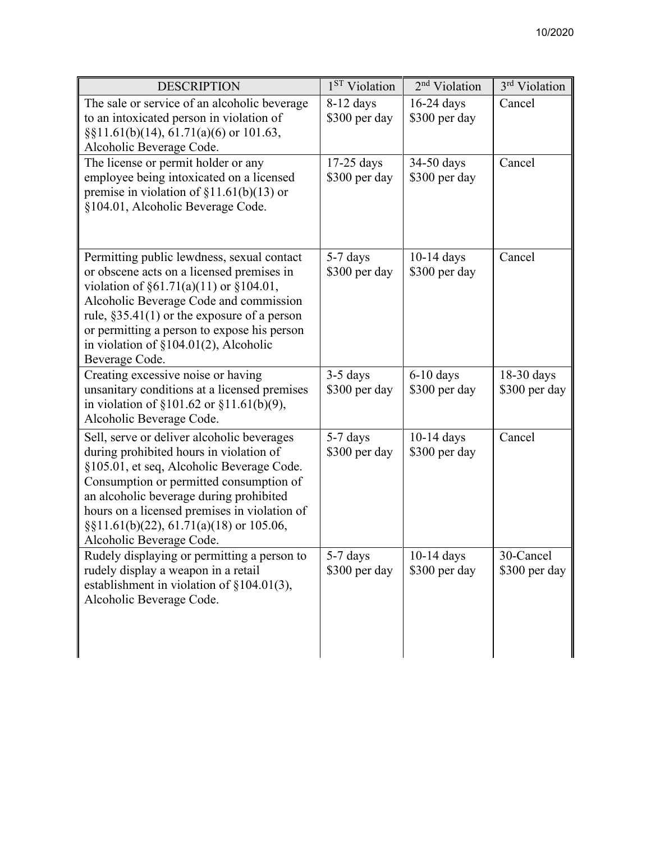| <b>DESCRIPTION</b>                                                                                                                                                                                                                                                                                                                                   | 1 <sup>ST</sup> Violation     | 2 <sup>nd</sup> Violation     | 3 <sup>rd</sup> Violation   |
|------------------------------------------------------------------------------------------------------------------------------------------------------------------------------------------------------------------------------------------------------------------------------------------------------------------------------------------------------|-------------------------------|-------------------------------|-----------------------------|
| The sale or service of an alcoholic beverage<br>to an intoxicated person in violation of<br>$\S$ [1.61(b)(14), 61.71(a)(6) or 101.63,<br>Alcoholic Beverage Code.                                                                                                                                                                                    | $8-12$ days<br>\$300 per day  | $16-24$ days<br>\$300 per day | Cancel                      |
| The license or permit holder or any<br>employee being intoxicated on a licensed<br>premise in violation of $\S11.61(b)(13)$ or<br>§104.01, Alcoholic Beverage Code.                                                                                                                                                                                  | $17-25$ days<br>\$300 per day | 34-50 days<br>\$300 per day   | Cancel                      |
| Permitting public lewdness, sexual contact<br>or obscene acts on a licensed premises in<br>violation of $\S61.71(a)(11)$ or $\S104.01$ ,<br>Alcoholic Beverage Code and commission<br>rule, $\S 35.41(1)$ or the exposure of a person<br>or permitting a person to expose his person<br>in violation of $\S 104.01(2)$ , Alcoholic<br>Beverage Code. | 5-7 days<br>\$300 per day     | $10-14$ days<br>\$300 per day | Cancel                      |
| Creating excessive noise or having<br>unsanitary conditions at a licensed premises<br>in violation of $\S 101.62$ or $\S 11.61(b)(9)$ ,<br>Alcoholic Beverage Code.                                                                                                                                                                                  | $3-5$ days<br>\$300 per day   | $6-10$ days<br>\$300 per day  | 18-30 days<br>\$300 per day |
| Sell, serve or deliver alcoholic beverages<br>during prohibited hours in violation of<br>§105.01, et seq, Alcoholic Beverage Code.<br>Consumption or permitted consumption of<br>an alcoholic beverage during prohibited<br>hours on a licensed premises in violation of<br>$\S$ [1.61(b)(22), 61.71(a)(18) or 105.06,<br>Alcoholic Beverage Code.   | 5-7 days<br>\$300 per day     | $10-14$ days<br>\$300 per day | Cancel                      |
| Rudely displaying or permitting a person to<br>rudely display a weapon in a retail<br>establishment in violation of $\S 104.01(3)$ ,<br>Alcoholic Beverage Code.                                                                                                                                                                                     | 5-7 days<br>\$300 per day     | $10-14$ days<br>\$300 per day | 30-Cancel<br>\$300 per day  |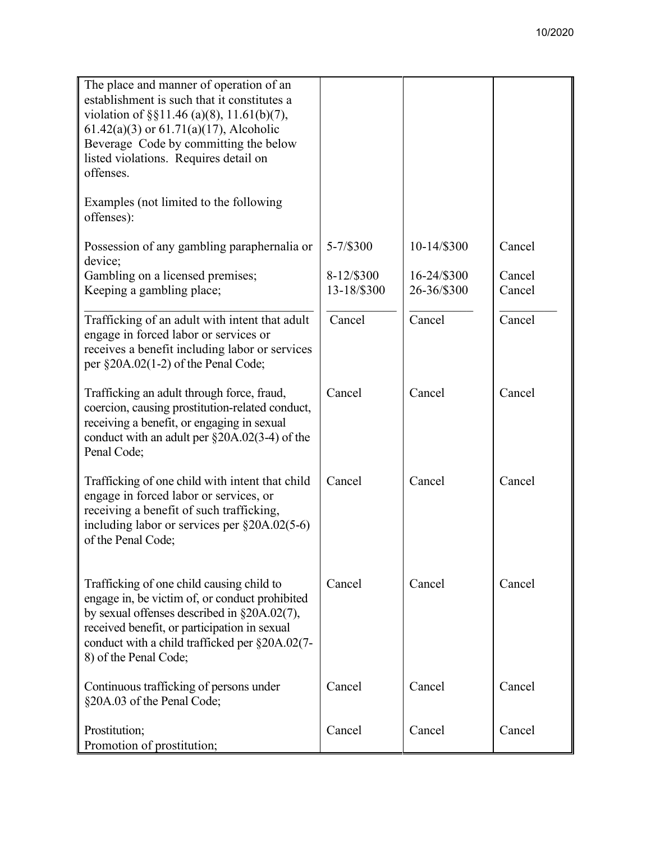| The place and manner of operation of an<br>establishment is such that it constitutes a<br>violation of $\S$ §11.46 (a)(8), 11.61(b)(7),<br>$61.42(a)(3)$ or $61.71(a)(17)$ , Alcoholic<br>Beverage Code by committing the below<br>listed violations. Requires detail on<br>offenses. |                           |                            |                  |
|---------------------------------------------------------------------------------------------------------------------------------------------------------------------------------------------------------------------------------------------------------------------------------------|---------------------------|----------------------------|------------------|
| Examples (not limited to the following<br>offenses):                                                                                                                                                                                                                                  |                           |                            |                  |
| Possession of any gambling paraphernalia or                                                                                                                                                                                                                                           | 5-7/\$300                 | 10-14/\$300                | Cancel           |
| device;<br>Gambling on a licensed premises;<br>Keeping a gambling place;                                                                                                                                                                                                              | 8-12/\$300<br>13-18/\$300 | 16-24/\$300<br>26-36/\$300 | Cancel<br>Cancel |
| Trafficking of an adult with intent that adult<br>engage in forced labor or services or<br>receives a benefit including labor or services<br>per $\S 20A.02(1-2)$ of the Penal Code;                                                                                                  | Cancel                    | Cancel                     | Cancel           |
| Trafficking an adult through force, fraud,<br>coercion, causing prostitution-related conduct,<br>receiving a benefit, or engaging in sexual<br>conduct with an adult per $\S20A.02(3-4)$ of the<br>Penal Code;                                                                        | Cancel                    | Cancel                     | Cancel           |
| Trafficking of one child with intent that child<br>engage in forced labor or services, or<br>receiving a benefit of such trafficking,<br>including labor or services per $\S20A.02(5-6)$<br>of the Penal Code;                                                                        | Cancel                    | Cancel                     | Cancel           |
| Trafficking of one child causing child to<br>engage in, be victim of, or conduct prohibited<br>by sexual offenses described in $\S20A.02(7)$ ,<br>received benefit, or participation in sexual<br>conduct with a child trafficked per §20A.02(7-<br>8) of the Penal Code;             | Cancel                    | Cancel                     | Cancel           |
| Continuous trafficking of persons under<br>§20A.03 of the Penal Code;                                                                                                                                                                                                                 | Cancel                    | Cancel                     | Cancel           |
| Prostitution;<br>Promotion of prostitution;                                                                                                                                                                                                                                           | Cancel                    | Cancel                     | Cancel           |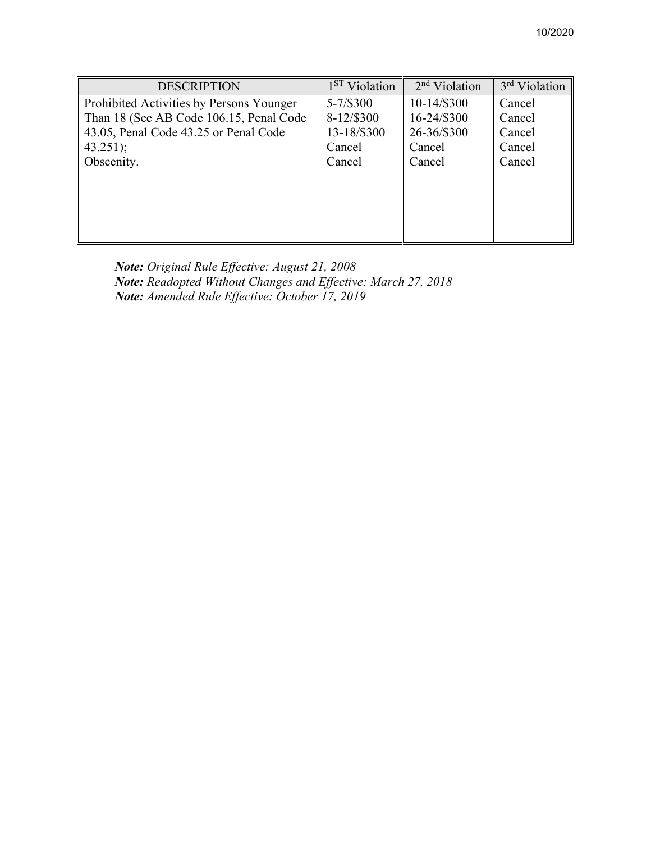| <b>DESCRIPTION</b>                       | 1 <sup>ST</sup> Violation | $2nd$ Violation | 3 <sup>rd</sup> Violation |
|------------------------------------------|---------------------------|-----------------|---------------------------|
| Prohibited Activities by Persons Younger | $5 - 7/$ \$300            | 10-14/\$300     | Cancel                    |
| Than 18 (See AB Code 106.15, Penal Code  | 8-12/\$300                | 16-24/\$300     | Cancel                    |
| 43.05, Penal Code 43.25 or Penal Code    | 13-18/\$300               | 26-36/\$300     | Cancel                    |
| $43.251$ ;                               | Cancel                    | Cancel          | Cancel                    |
| Obscenity.                               | Cancel                    | Cancel          | Cancel                    |
|                                          |                           |                 |                           |
|                                          |                           |                 |                           |
|                                          |                           |                 |                           |
|                                          |                           |                 |                           |
|                                          |                           |                 |                           |

*Note: Original Rule Effective: August 21, 2008 Note: Readopted Without Changes and Effective: March 27, 2018 Note: Amended Rule Effective: October 17, 2019*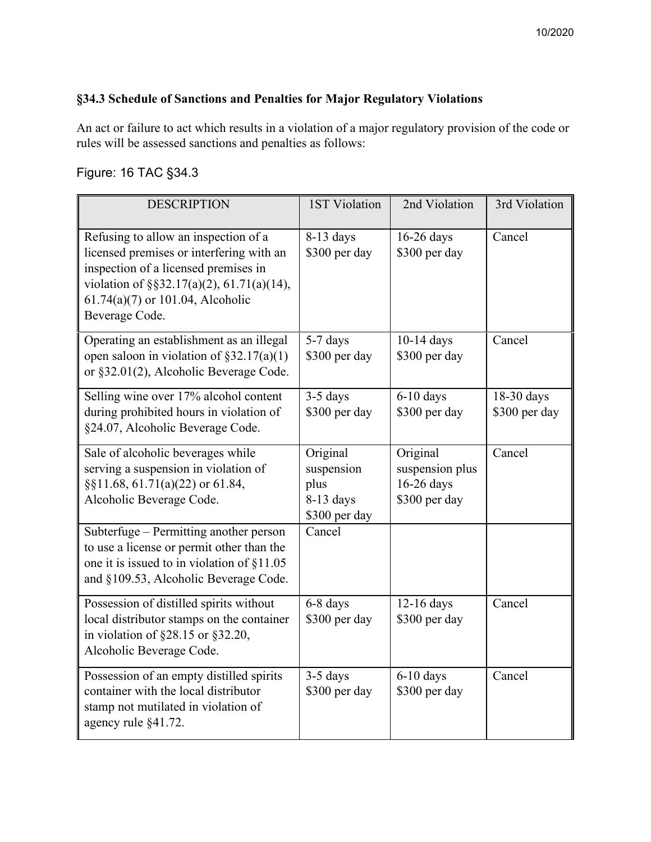## **§34.3 Schedule of Sanctions and Penalties for Major Regulatory Violations**

An act or failure to act which results in a violation of a major regulatory provision of the code or rules will be assessed sanctions and penalties as follows:

# Figure: 16 TAC §34.3

| <b>DESCRIPTION</b>                                                                                                                                                                                                            | <b>1ST Violation</b>                                           | 2nd Violation                                              | 3rd Violation               |
|-------------------------------------------------------------------------------------------------------------------------------------------------------------------------------------------------------------------------------|----------------------------------------------------------------|------------------------------------------------------------|-----------------------------|
| Refusing to allow an inspection of a<br>licensed premises or interfering with an<br>inspection of a licensed premises in<br>violation of §§32.17(a)(2), 61.71(a)(14),<br>$61.74(a)(7)$ or 101.04, Alcoholic<br>Beverage Code. | $8-13$ days<br>\$300 per day                                   | 16-26 days<br>\$300 per day                                | Cancel                      |
| Operating an establishment as an illegal<br>open saloon in violation of $\S 32.17(a)(1)$<br>or §32.01(2), Alcoholic Beverage Code.                                                                                            | 5-7 days<br>\$300 per day                                      | 10-14 days<br>\$300 per day                                | Cancel                      |
| Selling wine over 17% alcohol content<br>during prohibited hours in violation of<br>§24.07, Alcoholic Beverage Code.                                                                                                          | $3-5$ days<br>\$300 per day                                    | $6-10$ days<br>\$300 per day                               | 18-30 days<br>\$300 per day |
| Sale of alcoholic beverages while<br>serving a suspension in violation of<br>§§11.68, 61.71(a)(22) or 61.84,<br>Alcoholic Beverage Code.                                                                                      | Original<br>suspension<br>plus<br>$8-13$ days<br>\$300 per day | Original<br>suspension plus<br>16-26 days<br>\$300 per day | Cancel                      |
| Subterfuge – Permitting another person<br>to use a license or permit other than the<br>one it is issued to in violation of §11.05<br>and §109.53, Alcoholic Beverage Code.                                                    | Cancel                                                         |                                                            |                             |
| Possession of distilled spirits without<br>local distributor stamps on the container<br>in violation of $\S 28.15$ or $\S 32.20$ ,<br>Alcoholic Beverage Code.                                                                | 6-8 days<br>\$300 per day                                      | 12-16 days<br>\$300 per day                                | Cancel                      |
| Possession of an empty distilled spirits<br>container with the local distributor<br>stamp not mutilated in violation of<br>agency rule §41.72.                                                                                | $3-5$ days<br>\$300 per day                                    | $6-10$ days<br>\$300 per day                               | Cancel                      |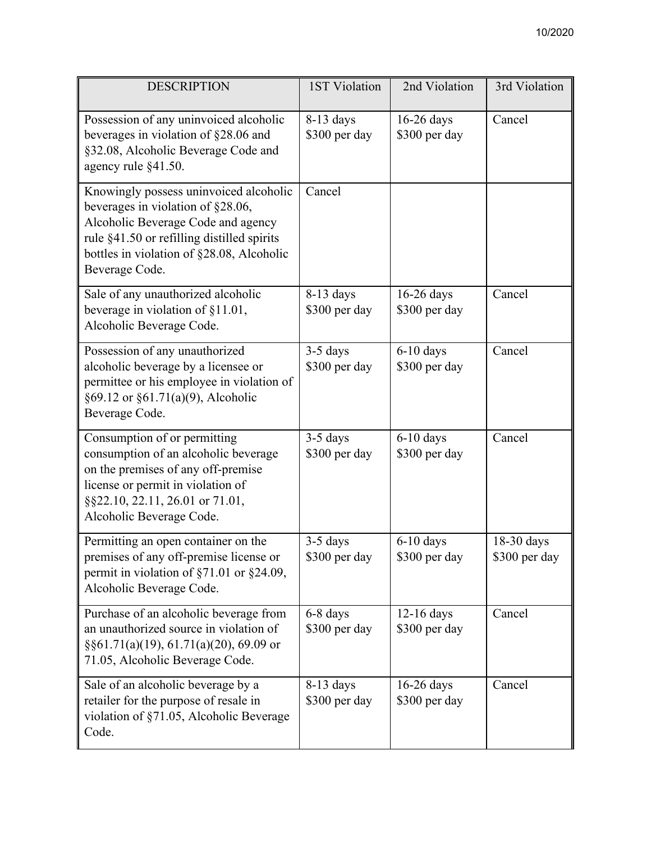| <b>DESCRIPTION</b>                                                                                                                                                                                                             | 1ST Violation                | 2nd Violation                 | 3rd Violation               |
|--------------------------------------------------------------------------------------------------------------------------------------------------------------------------------------------------------------------------------|------------------------------|-------------------------------|-----------------------------|
| Possession of any uninvoiced alcoholic<br>beverages in violation of §28.06 and<br>§32.08, Alcoholic Beverage Code and<br>agency rule §41.50.                                                                                   | $8-13$ days<br>\$300 per day | $16-26$ days<br>\$300 per day | Cancel                      |
| Knowingly possess uninvoiced alcoholic<br>beverages in violation of §28.06,<br>Alcoholic Beverage Code and agency<br>rule §41.50 or refilling distilled spirits<br>bottles in violation of §28.08, Alcoholic<br>Beverage Code. | Cancel                       |                               |                             |
| Sale of any unauthorized alcoholic<br>beverage in violation of §11.01,<br>Alcoholic Beverage Code.                                                                                                                             | 8-13 days<br>\$300 per day   | 16-26 days<br>\$300 per day   | Cancel                      |
| Possession of any unauthorized<br>alcoholic beverage by a licensee or<br>permittee or his employee in violation of<br>§69.12 or §61.71(a)(9), Alcoholic<br>Beverage Code.                                                      | 3-5 days<br>\$300 per day    | $6-10$ days<br>\$300 per day  | Cancel                      |
| Consumption of or permitting<br>consumption of an alcoholic beverage<br>on the premises of any off-premise<br>license or permit in violation of<br>§§22.10, 22.11, 26.01 or 71.01,<br>Alcoholic Beverage Code.                 | $3-5$ days<br>\$300 per day  | $6-10$ days<br>\$300 per day  | Cancel                      |
| Permitting an open container on the<br>premises of any off-premise license or<br>permit in violation of $\S71.01$ or $\S24.09$ ,<br>Alcoholic Beverage Code.                                                                   | $3-5$ days<br>\$300 per day  | $6-10$ days<br>\$300 per day  | 18-30 days<br>\$300 per day |
| Purchase of an alcoholic beverage from<br>an unauthorized source in violation of<br>$\S$ §61.71(a)(19), 61.71(a)(20), 69.09 or<br>71.05, Alcoholic Beverage Code.                                                              | 6-8 days<br>\$300 per day    | $12-16$ days<br>\$300 per day | Cancel                      |
| Sale of an alcoholic beverage by a<br>retailer for the purpose of resale in<br>violation of §71.05, Alcoholic Beverage<br>Code.                                                                                                | $8-13$ days<br>\$300 per day | $16-26$ days<br>\$300 per day | Cancel                      |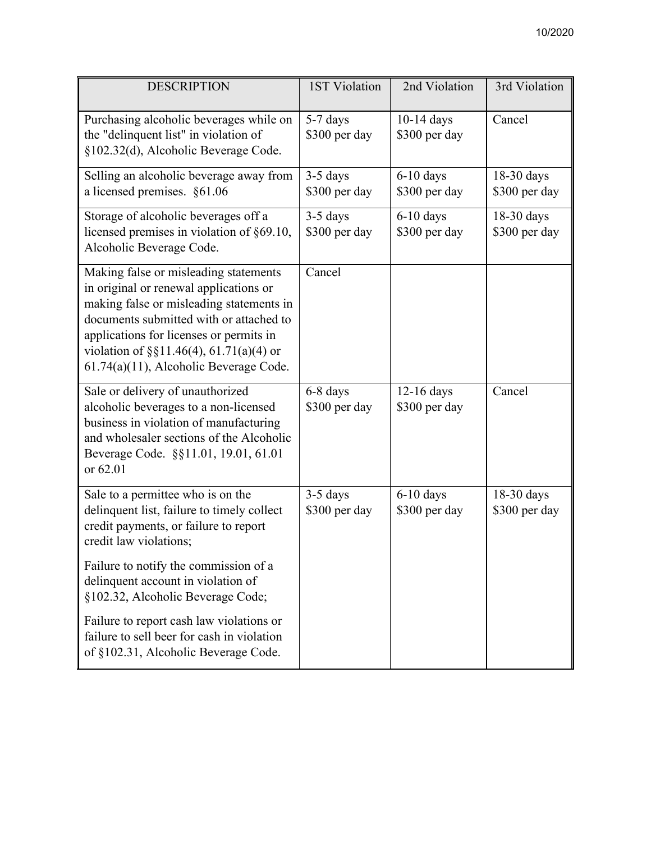| <b>DESCRIPTION</b>                                                                                                                                                                                                                                                                                          | <b>1ST Violation</b>        | 2nd Violation                 | 3rd Violation               |
|-------------------------------------------------------------------------------------------------------------------------------------------------------------------------------------------------------------------------------------------------------------------------------------------------------------|-----------------------------|-------------------------------|-----------------------------|
| Purchasing alcoholic beverages while on<br>the "delinquent list" in violation of<br>§102.32(d), Alcoholic Beverage Code.                                                                                                                                                                                    | 5-7 days<br>\$300 per day   | $10-14$ days<br>\$300 per day | Cancel                      |
| Selling an alcoholic beverage away from<br>a licensed premises. §61.06                                                                                                                                                                                                                                      | 3-5 days<br>\$300 per day   | $6-10$ days<br>\$300 per day  | 18-30 days<br>\$300 per day |
| Storage of alcoholic beverages off a<br>licensed premises in violation of §69.10,<br>Alcoholic Beverage Code.                                                                                                                                                                                               | $3-5$ days<br>\$300 per day | $6-10$ days<br>\$300 per day  | 18-30 days<br>\$300 per day |
| Making false or misleading statements<br>in original or renewal applications or<br>making false or misleading statements in<br>documents submitted with or attached to<br>applications for licenses or permits in<br>violation of $\S\S11.46(4)$ , 61.71(a)(4) or<br>61.74(a)(11), Alcoholic Beverage Code. | Cancel                      |                               |                             |
| Sale or delivery of unauthorized<br>alcoholic beverages to a non-licensed<br>business in violation of manufacturing<br>and wholesaler sections of the Alcoholic<br>Beverage Code. §§11.01, 19.01, 61.01<br>or 62.01                                                                                         | 6-8 days<br>\$300 per day   | 12-16 days<br>\$300 per day   | Cancel                      |
| Sale to a permittee who is on the<br>delinquent list, failure to timely collect<br>credit payments, or failure to report<br>credit law violations;                                                                                                                                                          | $3-5$ days<br>\$300 per day | $6-10$ days<br>\$300 per day  | 18-30 days<br>\$300 per day |
| Failure to notify the commission of a<br>delinquent account in violation of<br>§102.32, Alcoholic Beverage Code;                                                                                                                                                                                            |                             |                               |                             |
| Failure to report cash law violations or<br>failure to sell beer for cash in violation<br>of §102.31, Alcoholic Beverage Code.                                                                                                                                                                              |                             |                               |                             |